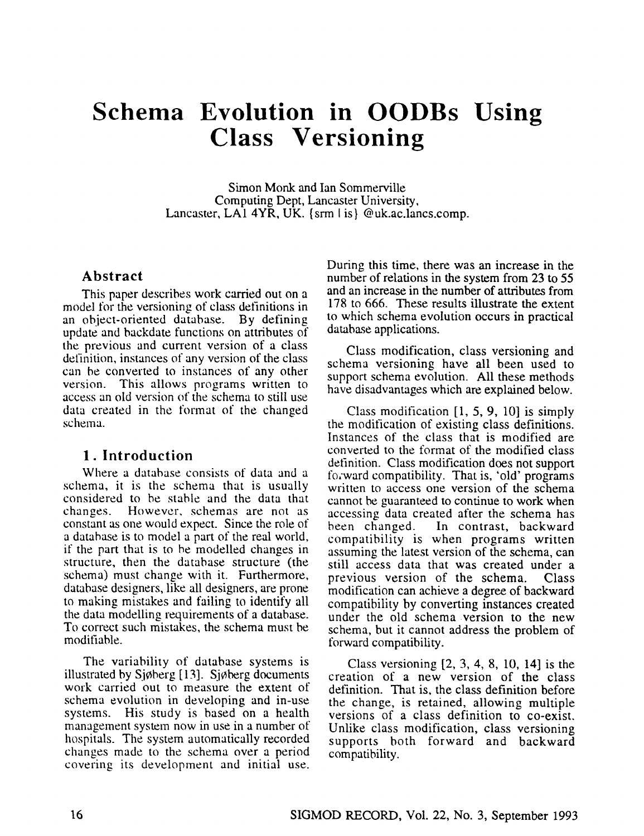# **Schema Evolution in OODBs Using Class Versioning**

Simon Monk and Ian Sommerville Computing Dept, Lancaster University, Lancaster, LAI 4YR, UK. {srm I is} @uk.ac.lancs.comp.

# **Abstract**

This paper describes work carried out on a model for the versioning of class definitions in an object-oriented database. By defining update and backdate functions on attributes of the previous and current version of a class definition, instances of any version of the class can be converted to instances of any other version. This allows programs written to access an old version of the schema to still use data created in the format of the changed schema.

# **1. Introduction**

Where a database consists of data and a schema, it is the schema that is usually considered to be stable and the data that changes. However, schemas are not as constant as one would expect. Since the role of a database is to model a part of the real world, if the part that is to he modelled changes in structure, then the database structure (the schema) must change with it. Furthermore, database designers, like all designers, are prone to making mistakes and failing to identify all the data modelling requirements of a database. To correct such mistakes, the schema must be modifiable.

The variability of database systems is illustrated by  $Sjøberg [13]$ . Sjøberg documents work carried out to measure the extent of schema evolution in developing and in-use systems. His study is based on a health management system now in use in a number of hospitals. The system automatically recorded changes made to the schema over a period covering its development and initial use. During this time, there was an increase in the number of relations in the system from 23 to 55 and an increase in the number of attributes from 178 to 666. These results illustrate the extent to which schema evolution occurs in practical database applications.

Class modification, class versioning and schema versioning have all been used to support schema evolution. All these methods have disadvantages which are explained below.

Class modification [1, 5, 9, 10] is simply the modification of existing class definitions. Instances of the class that is modified are converted to the format of the modified class definition. Class modification does not support fozward compatibility. That is, 'old" programs written to access one version of the schema cannot be guaranteed to continue to work when accessing data created after the schema has been changed. In contrast, backward compatibility is when programs written assuming the latest version of the schema, can still access data that was created under a previous version of the schema. Class modification can achieve a degree of backward compatibility by converting instances created under the old schema version to the new schema, but it cannot address the problem of forward compatibility.

Class versioning [2, 3, 4, 8, 10, 14] is the creation of a new version of the class definition. That is, the class definition before the change, is retained, allowing multiple versions of a class definition to co-exist. Unlike class modification, class versioning supports both forward and backward compatibility.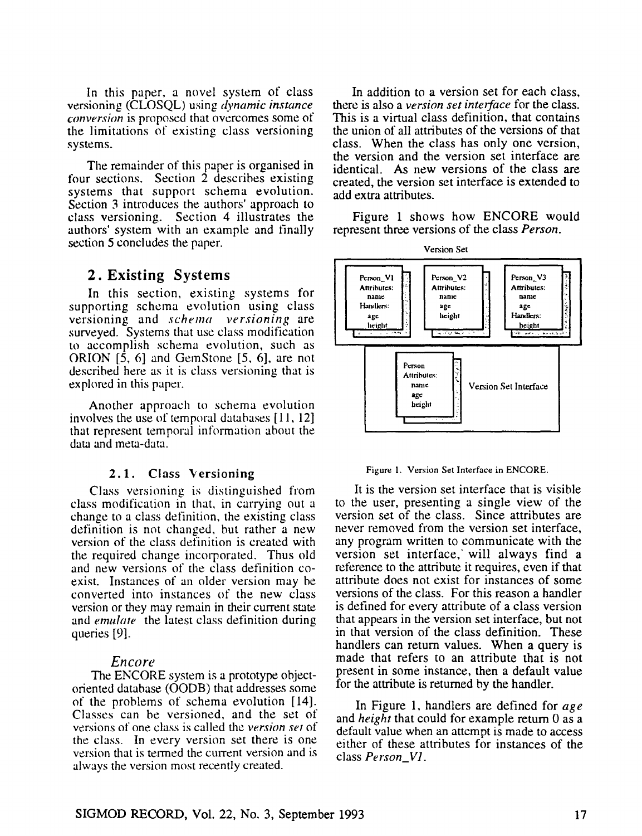In this paper, a novel system of class versioning (CLOSQL) using *dynamic instance converskm* is proposed that overcomes some of the limitations of existing class versioning systems.

The remainder of this paper is organised in four sections. Section 2 describes existing systems that support schema evolution. Section 3 introduces the authors' approach to class versioning. Section 4 illustrates the authors' system with an example and finally section 5 concludes the paper.

# **2. Existing** Systems

In this section, existing systems for supporting schema evolution using class versioning and *schema* versioning are surveyed. Systems that use class modification to accomplish schema evolution, such as ORION [5, 6] and GemStone [5, 6], are not described here as it is class versioning that is explored in this paper.

Another approach to schema evolution involves the use of temporal databases [11, 12] that represent temporal information about the data and meta-data.

# **2.1. Class Versioning**

Class versioning is distinguished from class modification in that, in carrying out a change to a class definition, the existing class definition is not changed, but rather a new version of the class definition is created with the required change incorporated. Thus old and new versions of the class definition coexist. Instances of an older version may be converted into instances of the new class version or they may remain in their current state and *emulate* the latest class definition during queries [9].

# *Encore*

The ENCORE system is a prototype objectoriented database (OODB) that addresses some of the problems of schema evolution [14]. Classes can be versioned, and the set of versions of one class is called the *version set* of the class. In every version set there is one version that is termed the current version and is always the version most recently created.

In addition to a version set for each class, there is also a *version set interface* for the class. This is a virtual class definition, that contains the union of all attributes of the versions of that class. When the class has only one version, the version and the version set interface are identical. As new versions of the class are created, the version set interface is extended to add extra attributes.

Figure 1 shows how ENCORE would represent three versions of the class *Person.* 



Figure 1. Version Set Interface in ENCORE.

It is the version set interface that is visible to the user, presenting a single view of the version set of the class. Since attributes are never removed from the version set interface, any program written to communicate with the version set interface, will always find a reference to the attribute it requires, even if that attribute does not exist for instances of some versions of the class. For this reason a handler is defined fior every attribute of a class version that appears in the version set interface, but not in that version of the class definition. These handlers can return values. When a query is made that refers to an attribute that is not present in some instance, then a default value for the attribute is returned by the handler.

In Figure 1, handlers are defined for *age*  and *height* that could for example return 0 as a default value when an attempt is made to access either of these attributes for instances of the class *Person\_V1.*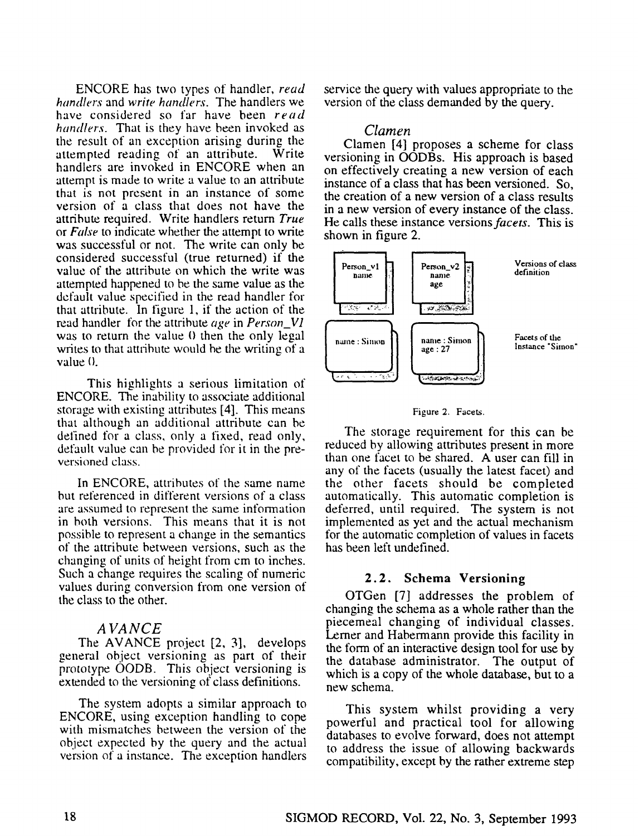ENCORE has two types of handler, *read handlers* and *write handlers.* The handlers we have considered so far have been *read handlers.* That is they have been invoked as the result of an exception arising during the attempted reading of an attribute. Write handlers are invoked in ENCORE when an attempt is made to write a value to an attribute that is not present in an instance of some version of a class that does not have the attribute required. Write handlers return *True*  or *False* to indicate whether the attempt to write was successful or not. The write can only be considered successful (true returned) if the value of the attribute on which the write was attempted happened to be the same value as the default value specified in the read handler for that attribute. In figure l, if the action of the read handler for the attribute *age* in *Person\_V1*  was to return the value 0 then the only legal writes to that attribute would be the writing of a  $value(0)$ .

This highlights a serious limitation of ENCORE. The inability to associate additional storage with existing attributes [4]. This means that although an additional attribute can be defined for a class, only a fixed, read only, default value can be provided for it in the preversioned class.

In ENCORE, attributes of the same name but referenced in different versions of a class are assumed to represent the same information in both versions. This means that it is not possible to represent a change in the semantics of the attribute between versions, such as the changing of units of height from cm to inches. Such a change requires the scaling of numeric values during conversion from one version of the class to the other.

#### *A VA NCE*

The AVANCE project [2, 3], develops general object versioning as part of their prototype OODB. This object versioning is extended to the versioning of class definitions.

The system adopts a similar approach to ENCORE, using exception handling to cope with mismatches between the version of the object expected by the query and the actual version of a instance. The exception handlers service the query with values appropriate to the version of the class demanded by the query.

# *Clamen*

Clamen [4] proposes a scheme for class versioning in OODBs. His approach is based on effectively creating a new version of each instance of a class that has been versioned. So, the creation of a new version of a class results in a new version of every instance of the class. He calls these instance *versions facets.* This is shown in figure 2.



#### Figure 2. Facets.

The storage requirement for this can be reduced by allowing attributes present in more than one facet to be shared. A user can fill in any of the facets (usually the latest facet) and the other facets should be completed automatically. This automatic completion is deferred, until required. The system is not implemented as yet and the actual mechanism for the automatic completion of values in facets has been left undefined.

# **2.2. Schema Versioning**

OTGen [7] addresses the problem of changing the schema as a whole rather than the piecemeal changing of individual classes. Lerner and Habermann provide this facility in the form of an interactive design tool for use by the database administrator. The output of which is a copy of the whole database, but to a new schema.

This system whilst providing a very powerful and practical tool for allowing databases to evolve forward, does not attempt to address the issue of allowing backwards compatibility, except by the rather extreme step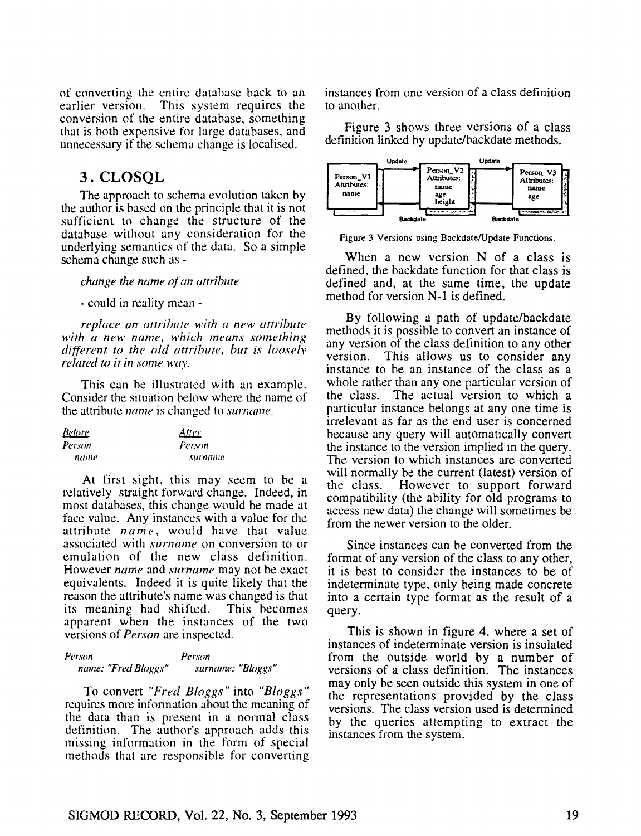of converting the entire database back to an earlier version. This system requires the conversion of the entire database, something that is both expensive for large databases, and unnecessary if the schema change is localised.

# 3. CLOSQL

The approach to schema evolution taken by the author is based on the principle that it is not sufficient to change the structure of the database without any consideration for the underlying semantics of the data. So a simple schema change such as -

*change the name a[an attribute* 

- could in reality mean -

*replace an attribute with a new attribute with a new name, which means something different to the old attribute, but is loosely related to it in some way.* 

This can be illustrated with an example. Consider the situation below where the name of the attribute *name* is changed to *surname*.

| <u>Before</u> | <u>Afier</u> |
|---------------|--------------|
| Person        | Person       |
| name          | surname      |

At first sight, this may seem to be a relatively straight forward change. Indeed, in most databases, this change would be made at face value. Any instances with a value for the attribute *name,* would have that value associated with *surname* on conversion to or emulation of the new class definition. However *name* and *surname* may not be exact equivalents. Indeed it is quite likely that the reason the attribute's name was changed is that its meaning had shifted. This becomes apparent when the instances of the two versions of *Person* are inspected.

Person Person *name: "Fred Bloggs" surname: "Bloggs"* 

To convert *"Fred Bloggs"* into *"Bloggs"*  requires more information about the meaning of the data than is present in a normal class definition. The author's approach adds this missing information in the form of special methods that are responsible for converting instances from one version of a class definition to another.

Figure 3 shows three versions of a class definition linked by update/backdate methods.



Figure 3 Versions using Backdate/Update Functions.

When a new version N of a class is defined, the backdate function for that class is defined and, at the same time, the update method for version N-1 is defined.

By following a path of update/backdate methods it is possible to convert an instance of any version of the class definition to any other version. This allows us to consider any instance to be an instance of the class as a whole rather than any one particular version of the class. The actual version to which a particular instance belongs at any one time is irrelevant as far as the end user is concerned because any query will automatically convert the instance to the version implied in the query. The version to which instances are converted will normally be the current (latest) version of the class. However to support forward compatibility (the ability for old programs to access new data) the change will sometimes be from the newer version to the older.

Since instances can be converted from the format of any version of the class to any other, it is best to consider the instances to be of indeterminate type, only being made concrete into a certain type format as the result of a query.

This is shown in figure 4. where a set of instances of indeterminate version is insulated from the outside world by a number of versions of a class definition. The instances may only be seen outside this system in one of the representations provided by the class versions. The class version used is determined by the queries attempting to extract the instances from the system.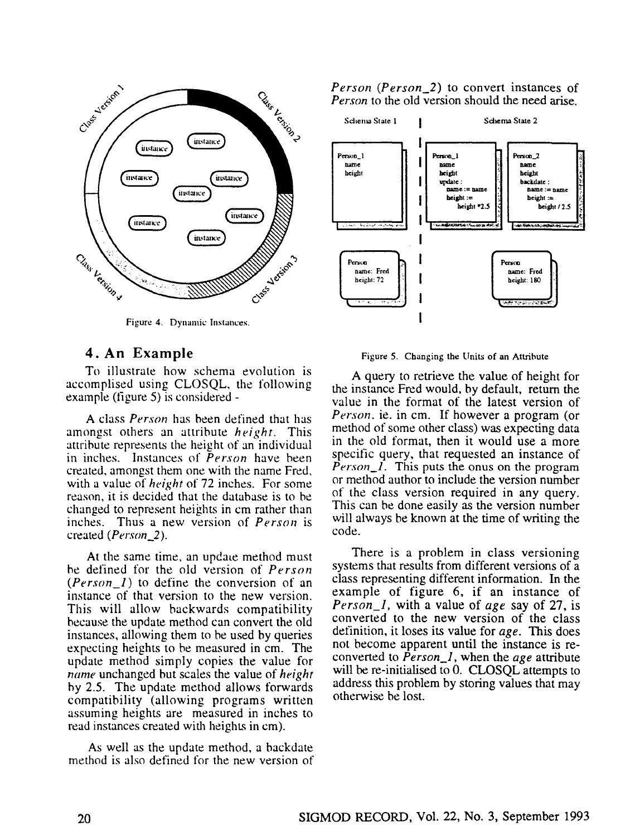

Figure 4. Dynamic Instances.

# **4. An Example**

To illustrate how schema evolution is accomplised using CLOSQL, the following example (figure 5) is considered -

A class *Person* has been defined that has amongst others an attribute *height.* This attribute represents the height of an individual in inches. Instances of *Person* have been created, amongst them one with the name Fred, with a value of *height* of 72 inches. For some reason, it is decided that the database is to be changed to represent heights in cm rather than inches. Thus a new version of *Person* is created *(Person\_2)*.

At the same time, an update method must be defined for the old version of *Person (Person\_l)* to define the conversion of an instance of that version to the new version. This will allow backwards compatibility because the update method can convert the old instances, allowing them to be used by queries expecting heights to be measured in cm. The update method simply copies the value for *name* unchanged but scales the value of *height*  by 2.5. The update method allows forwards compatibility (allowing programs written assuming heights are measured in inches to read instances created with heights in cm).

As well as the update method, a backdate method is also defined for the new version of *Person (Person\_2)* to convert instances of *Person* to the old version should the need arise.



Figure 5. Changing the Units of an Attribute

A query to retrieve the value of height for the instance Fred would, by default, return the value in the format of the latest version of *Person.* ie. in cm. If however a program (or method of some other class) was expecting data in the old format, then it would use a more specific query, that requested an instance of *Person\_l.* This puts the onus on the program or method author to include the version number of the class version required in any query. This can be done easily as the version number will always be known at the time of writing the code.

There is a problem in class versioning systems that results from different versions of a class representing different information. In the example of figure 6, if an instance of *Person\_l,* with a value of *age* say of 27, is converted to the new version of the class definition, it loses its value for *age.* This does not become apparent until the instance is reconverted to *Person\_l,* when the *age* attribute will be re-initialised to 0. CLOSQL attempts to address this problem by storing values that may otherwise be lost.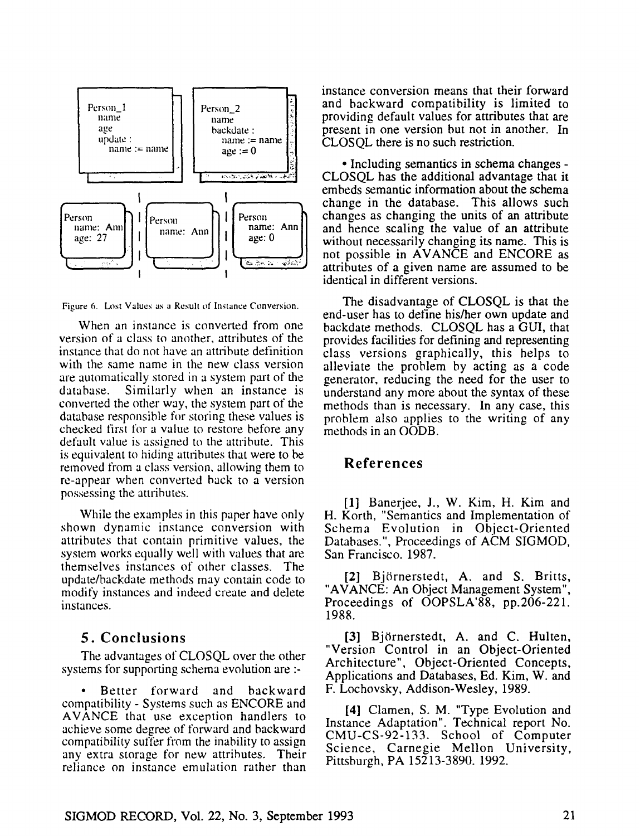

Figure 6. Lost Values as a Result of Instance Conversion.

When an instance is converted from one version of a class to another, attributes of the instance that do not have an attribute definition with the same name in the new class version are automatically stored in a system part of the database. Similarly when an instance is converted the other way, the system part of the database responsible for storing these values is checked first for a value to restore before any default value is assigned to the attribute. This is equivalent to hiding attributes that were to be removed from a class version, allowing them to re-appear when converted back to a version possessing the attributes.

While the examples in this paper have only shown dynamic instance conversion with attributes that contain primitive values, the system works equally well with values that are themselves instances of other classes. The update/backdate methods may contain code to modify instances and indeed create and delete instances.

# **5. Conclusions**

The advantages of CLOSQL over the other systems for supporting schema evolution are :-

• Better forward and backward compatibility - Systems such as ENCORE and AVANCE that use exception handlers to achieve some degree of forward and backward compatibility suffer from the inability to assign any extra storage for new attributes. Their reliance on instance emulation rather than instance conversion means that their forward and backward compatibility is limited to providing default values for attributes that are present in one version but not in another. In CLOSQL there is no such restriction.

• Including semantics in schema changes - CLOSQL has the additional advantage that it embeds semantic information about the schema change in the database. This allows such changes as changing the units of an attribute and hence scaling the value of an attribute without necessarily changing its name. This is not possible in AVANCE and ENCORE as attributes of a given name are assumed to be identical in different versions.

The disadvantage of CLOSQL is that the end-user has to define his/her own update and backdate methods. CLOSQL has a GUI, that provides facilities for defining and representing class versions graphically, this helps to alleviate the problem by acting as a code generator, reducing the need for the user to understand any more about the syntax of these methods than is necessary. In any case, this problem also applies to the writing of any methods in an OODB.

# **References**

[1] Banerjee, J., W. Kim, H. Kim and H. Korth, "Semantics and Implementation of Schema Evolution in Object-Oriented Databases.", Proceedings of ACM SIGMOD, San Francisco. 1987.

[2] Björnerstedt, A. and S. Britts, "AVANCE: An Object Management System", Proceedings of OOPSLA'88, pp.206-221. 1988.

[3] Björnerstedt, A. and C. Hulten, "Version Control in an Object-Oriented Architecture", Object-Oriented Concepts, Applications and Databases, Ed. Kim, W. and F. Lochovsky, Addison-Wesley, 1989.

[4] Clamen, S. M. "Type Evolution and Instance Adaptation". Technical report No. CMU-CS-92-133. School of Computer Science, Carnegie Mellon University, Pittsburgh, PA 15213-3890. 1992.